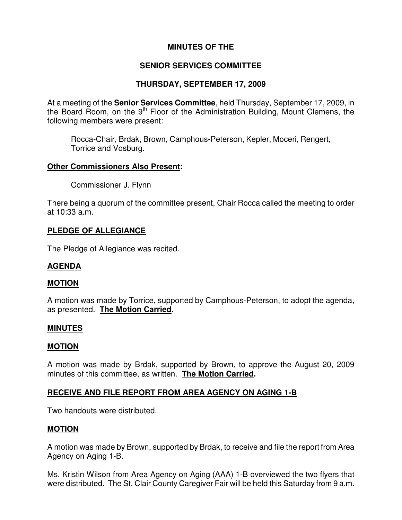# **MINUTES OF THE**

## **SENIOR SERVICES COMMITTEE**

## **THURSDAY, SEPTEMBER 17, 2009**

At a meeting of the **Senior Services Committee**, held Thursday, September 17, 2009, in the Board Room, on the  $9<sup>th</sup>$  Floor of the Administration Building, Mount Clemens, the following members were present:

Rocca-Chair, Brdak, Brown, Camphous-Peterson, Kepler, Moceri, Rengert, Torrice and Vosburg.

#### **Other Commissioners Also Present:**

Commissioner J. Flynn

There being a quorum of the committee present, Chair Rocca called the meeting to order at 10:33 a.m.

## **PLEDGE OF ALLEGIANCE**

The Pledge of Allegiance was recited.

## **AGENDA**

#### **MOTION**

A motion was made by Torrice, supported by Camphous-Peterson, to adopt the agenda, as presented. **The Motion Carried.** 

#### **MINUTES**

#### **MOTION**

A motion was made by Brdak, supported by Brown, to approve the August 20, 2009 minutes of this committee, as written. **The Motion Carried.** 

## **RECEIVE AND FILE REPORT FROM AREA AGENCY ON AGING 1-B**

Two handouts were distributed.

#### **MOTION**

A motion was made by Brown, supported by Brdak, to receive and file the report from Area Agency on Aging 1-B.

Ms. Kristin Wilson from Area Agency on Aging (AAA) 1-B overviewed the two flyers that were distributed. The St. Clair County Caregiver Fair will be held this Saturday from 9 a.m.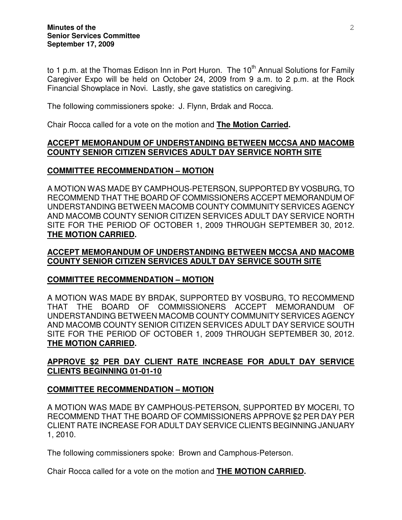to 1 p.m. at the Thomas Edison Inn in Port Huron. The  $10<sup>th</sup>$  Annual Solutions for Family Caregiver Expo will be held on October 24, 2009 from 9 a.m. to 2 p.m. at the Rock Financial Showplace in Novi. Lastly, she gave statistics on caregiving.

The following commissioners spoke: J. Flynn, Brdak and Rocca.

Chair Rocca called for a vote on the motion and **The Motion Carried.** 

### **ACCEPT MEMORANDUM OF UNDERSTANDING BETWEEN MCCSA AND MACOMB COUNTY SENIOR CITIZEN SERVICES ADULT DAY SERVICE NORTH SITE**

## **COMMITTEE RECOMMENDATION – MOTION**

A MOTION WAS MADE BY CAMPHOUS-PETERSON, SUPPORTED BY VOSBURG, TO RECOMMEND THAT THE BOARD OF COMMISSIONERS ACCEPT MEMORANDUM OF UNDERSTANDING BETWEEN MACOMB COUNTY COMMUNITY SERVICES AGENCY AND MACOMB COUNTY SENIOR CITIZEN SERVICES ADULT DAY SERVICE NORTH SITE FOR THE PERIOD OF OCTOBER 1, 2009 THROUGH SEPTEMBER 30, 2012. **THE MOTION CARRIED.** 

## **ACCEPT MEMORANDUM OF UNDERSTANDING BETWEEN MCCSA AND MACOMB COUNTY SENIOR CITIZEN SERVICES ADULT DAY SERVICE SOUTH SITE**

## **COMMITTEE RECOMMENDATION – MOTION**

A MOTION WAS MADE BY BRDAK, SUPPORTED BY VOSBURG, TO RECOMMEND THAT THE BOARD OF COMMISSIONERS ACCEPT MEMORANDUM OF UNDERSTANDING BETWEEN MACOMB COUNTY COMMUNITY SERVICES AGENCY AND MACOMB COUNTY SENIOR CITIZEN SERVICES ADULT DAY SERVICE SOUTH SITE FOR THE PERIOD OF OCTOBER 1, 2009 THROUGH SEPTEMBER 30, 2012. **THE MOTION CARRIED.** 

# **APPROVE \$2 PER DAY CLIENT RATE INCREASE FOR ADULT DAY SERVICE CLIENTS BEGINNING 01-01-10**

## **COMMITTEE RECOMMENDATION – MOTION**

A MOTION WAS MADE BY CAMPHOUS-PETERSON, SUPPORTED BY MOCERI, TO RECOMMEND THAT THE BOARD OF COMMISSIONERS APPROVE \$2 PER DAY PER CLIENT RATE INCREASE FOR ADULT DAY SERVICE CLIENTS BEGINNING JANUARY 1, 2010.

The following commissioners spoke: Brown and Camphous-Peterson.

Chair Rocca called for a vote on the motion and **THE MOTION CARRIED.**